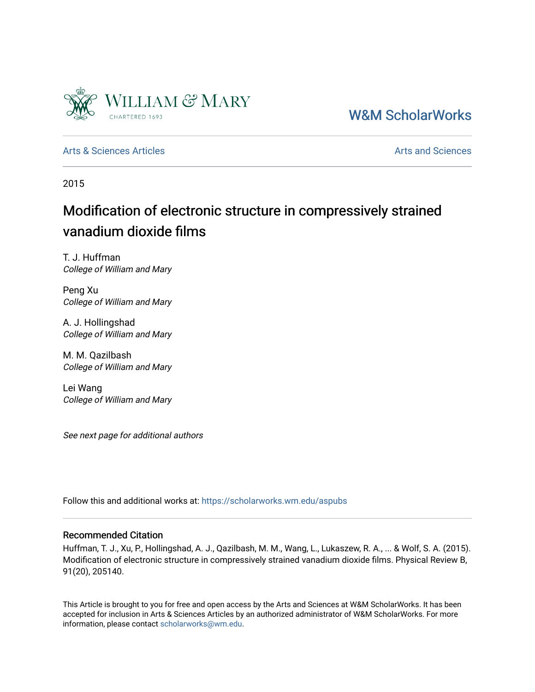

[W&M ScholarWorks](https://scholarworks.wm.edu/) 

[Arts & Sciences Articles](https://scholarworks.wm.edu/aspubs) **Articles** [Arts and Sciences](https://scholarworks.wm.edu/as) Articles Arts and Sciences Arts and Sciences

2015

# Modification of electronic structure in compressively strained vanadium dioxide films

T. J. Huffman College of William and Mary

Peng Xu College of William and Mary

A. J. Hollingshad College of William and Mary

M. M. Qazilbash College of William and Mary

Lei Wang College of William and Mary

See next page for additional authors

Follow this and additional works at: [https://scholarworks.wm.edu/aspubs](https://scholarworks.wm.edu/aspubs?utm_source=scholarworks.wm.edu%2Faspubs%2F976&utm_medium=PDF&utm_campaign=PDFCoverPages) 

# Recommended Citation

Huffman, T. J., Xu, P., Hollingshad, A. J., Qazilbash, M. M., Wang, L., Lukaszew, R. A., ... & Wolf, S. A. (2015). Modification of electronic structure in compressively strained vanadium dioxide films. Physical Review B, 91(20), 205140.

This Article is brought to you for free and open access by the Arts and Sciences at W&M ScholarWorks. It has been accepted for inclusion in Arts & Sciences Articles by an authorized administrator of W&M ScholarWorks. For more information, please contact [scholarworks@wm.edu](mailto:scholarworks@wm.edu).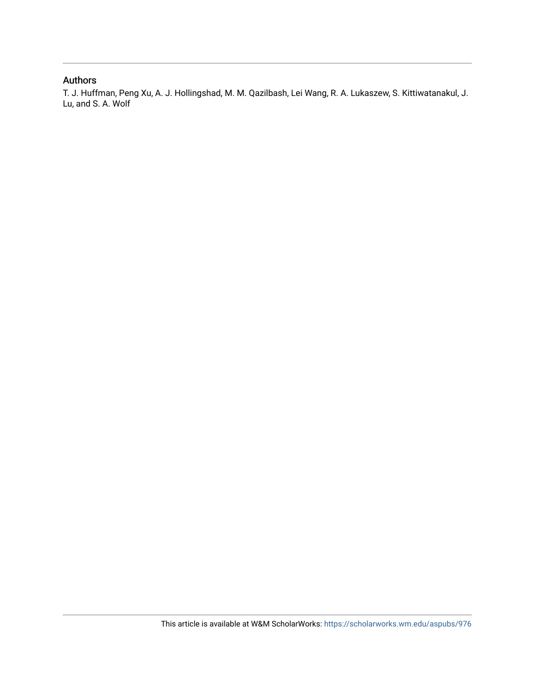# Authors

T. J. Huffman, Peng Xu, A. J. Hollingshad, M. M. Qazilbash, Lei Wang, R. A. Lukaszew, S. Kittiwatanakul, J. Lu, and S. A. Wolf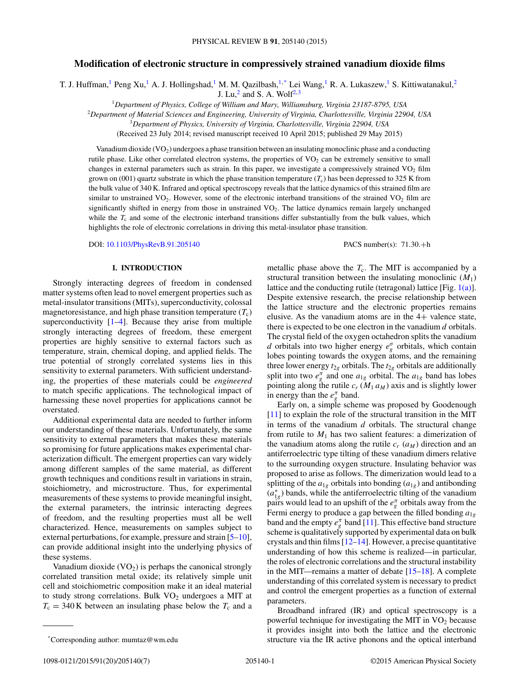# **Modification of electronic structure in compressively strained vanadium dioxide films**

T. J. Huffman,<sup>1</sup> Peng Xu,<sup>1</sup> A. J. Hollingshad,<sup>1</sup> M. M. Qazilbash,<sup>1,\*</sup> Lei Wang,<sup>1</sup> R. A. Lukaszew,<sup>1</sup> S. Kittiwatanakul,<sup>2</sup>

J. Lu, $^2$  and S. A. Wolf<sup>2,3</sup>

<sup>1</sup>*Department of Physics, College of William and Mary, Williamsburg, Virginia 23187-8795, USA*

<sup>2</sup>*Department of Material Sciences and Engineering, University of Virginia, Charlottesville, Virginia 22904, USA*

<sup>3</sup>*Department of Physics, University of Virginia, Charlottesville, Virginia 22904, USA*

(Received 23 July 2014; revised manuscript received 10 April 2015; published 29 May 2015)

Vanadium dioxide  $(VO_2)$  undergoes a phase transition between an insulating monoclinic phase and a conducting rutile phase. Like other correlated electron systems, the properties of  $VO<sub>2</sub>$  can be extremely sensitive to small changes in external parameters such as strain. In this paper, we investigate a compressively strained VO<sub>2</sub> film grown on (001) quartz substrate in which the phase transition temperature  $(T_c)$  has been depressed to 325 K from the bulk value of 340 K. Infrared and optical spectroscopy reveals that the lattice dynamics of this strained film are similar to unstrained  $VO<sub>2</sub>$ . However, some of the electronic interband transitions of the strained  $VO<sub>2</sub>$  film are significantly shifted in energy from those in unstrained VO<sub>2</sub>. The lattice dynamics remain largely unchanged while the  $T_c$  and some of the electronic interband transitions differ substantially from the bulk values, which highlights the role of electronic correlations in driving this metal-insulator phase transition.

DOI: [10.1103/PhysRevB.91.205140](http://dx.doi.org/10.1103/PhysRevB.91.205140) PACS number(s): 71*.*30*.*+h

# **I. INTRODUCTION**

Strongly interacting degrees of freedom in condensed matter systems often lead to novel emergent properties such as metal-insulator transitions (MITs), superconductivity, colossal magnetoresistance, and high phase transition temperature  $(T_c)$ superconductivity  $[1-4]$ . Because they arise from multiple strongly interacting degrees of freedom, these emergent properties are highly sensitive to external factors such as temperature, strain, chemical doping, and applied fields. The true potential of strongly correlated systems lies in this sensitivity to external parameters. With sufficient understanding, the properties of these materials could be *engineered* to match specific applications. The technological impact of harnessing these novel properties for applications cannot be overstated.

Additional experimental data are needed to further inform our understanding of these materials. Unfortunately, the same sensitivity to external parameters that makes these materials so promising for future applications makes experimental characterization difficult. The emergent properties can vary widely among different samples of the same material, as different growth techniques and conditions result in variations in strain, stoichiometry, and microstructure. Thus, for experimental measurements of these systems to provide meaningful insight, the external parameters, the intrinsic interacting degrees of freedom, and the resulting properties must all be well characterized. Hence, measurements on samples subject to external perturbations, for example, pressure and strain [\[5](#page-7-0)[–10\]](#page-8-0), can provide additional insight into the underlying physics of these systems.

Vanadium dioxide  $(VO_2)$  is perhaps the canonical strongly correlated transition metal oxide; its relatively simple unit cell and stoichiometric composition make it an ideal material to study strong correlations. Bulk  $VO<sub>2</sub>$  undergoes a MIT at  $T_c = 340$  K between an insulating phase below the  $T_c$  and a

metallic phase above the  $T_c$ . The MIT is accompanied by a structural transition between the insulating monoclinic  $(M_1)$ lattice and the conducting rutile (tetragonal) lattice [Fig. [1\(a\)\]](#page-3-0). Despite extensive research, the precise relationship between the lattice structure and the electronic properties remains elusive. As the vanadium atoms are in the 4+ valence state, there is expected to be one electron in the vanadium *d* orbitals. The crystal field of the oxygen octahedron splits the vanadium *d* orbitals into two higher energy *e<sup>σ</sup> <sup>g</sup>* orbitals, which contain lobes pointing towards the oxygen atoms, and the remaining three lower energy  $t_{2g}$  orbitals. The  $t_{2g}$  orbitals are additionally split into two  $e^{\pi}_{g}$  and one  $a_{1g}$  orbital. The  $a_{1g}$  band has lobes pointing along the rutile  $c_r$  ( $M_1 a_M$ ) axis and is slightly lower in energy than the  $e^{\pi}_{g}$  band.

Early on, a simple scheme was proposed by Goodenough [\[11\]](#page-8-0) to explain the role of the structural transition in the MIT in terms of the vanadium *d* orbitals. The structural change from rutile to  $M_1$  has two salient features: a dimerization of the vanadium atoms along the rutile  $c_r$   $(a_M)$  direction and an antiferroelectric type tilting of these vanadium dimers relative to the surrounding oxygen structure. Insulating behavior was proposed to arise as follows. The dimerization would lead to a splitting of the  $a_{1g}$  orbitals into bonding  $(a_{1g})$  and antibonding  $(a_{1g}^*)$  bands, while the antiferroelectric tilting of the vanadium pairs would lead to an upshift of the  $e^{\pi}_{g}$  orbitals away from the Fermi energy to produce a gap between the filled bonding *a*1*<sup>g</sup>* band and the empty  $e^{\pi}_{g}$  band [\[11\]](#page-8-0). This effective band structure scheme is qualitatively supported by experimental data on bulk crystals and thin films [\[12–14\]](#page-8-0). However, a precise quantitative understanding of how this scheme is realized—in particular, the roles of electronic correlations and the structural instability in the MIT—remains a matter of debate [\[15–18\]](#page-8-0). A complete understanding of this correlated system is necessary to predict and control the emergent properties as a function of external parameters.

Broadband infrared (IR) and optical spectroscopy is a powerful technique for investigating the MIT in  $VO<sub>2</sub>$  because it provides insight into both the lattice and the electronic structure via the IR active phonons and the optical interband

<sup>\*</sup>Corresponding author: mumtaz@wm.edu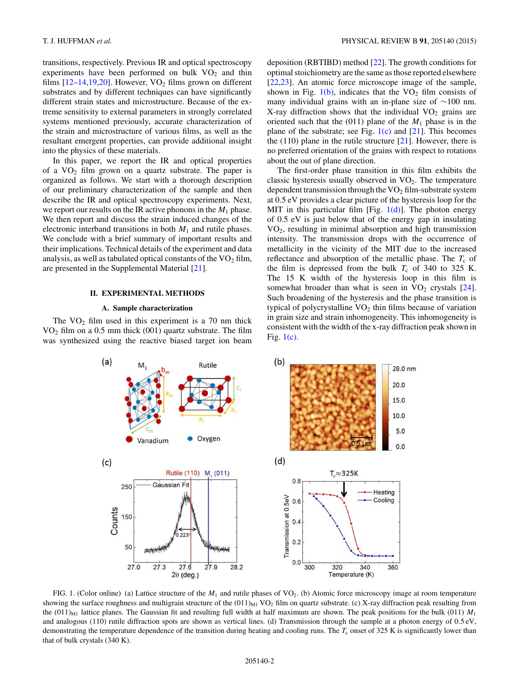<span id="page-3-0"></span>transitions, respectively. Previous IR and optical spectroscopy experiments have been performed on bulk  $VO<sub>2</sub>$  and thin films  $[12-14,19,20]$ . However, VO<sub>2</sub> films grown on different substrates and by different techniques can have significantly different strain states and microstructure. Because of the extreme sensitivity to external parameters in strongly correlated systems mentioned previously, accurate characterization of the strain and microstructure of various films, as well as the resultant emergent properties, can provide additional insight into the physics of these materials.

In this paper, we report the IR and optical properties of a  $VO_2$  film grown on a quartz substrate. The paper is organized as follows. We start with a thorough description of our preliminary characterization of the sample and then describe the IR and optical spectroscopy experiments. Next, we report our results on the IR active phonons in the  $M_1$  phase. We then report and discuss the strain induced changes of the electronic interband transitions in both  $M_1$  and rutile phases. We conclude with a brief summary of important results and their implications. Technical details of the experiment and data analysis, as well as tabulated optical constants of the  $VO<sub>2</sub>$  film, are presented in the Supplemental Material [\[21\]](#page-8-0).

# **II. EXPERIMENTAL METHODS**

#### **A. Sample characterization**

The  $VO<sub>2</sub>$  film used in this experiment is a 70 nm thick  $VO<sub>2</sub>$  film on a 0.5 mm thick (001) quartz substrate. The film was synthesized using the reactive biased target ion beam deposition (RBTIBD) method [\[22\]](#page-8-0). The growth conditions for optimal stoichiometry are the same as those reported elsewhere [\[22,23\]](#page-8-0). An atomic force microscope image of the sample, shown in Fig.  $1(b)$ , indicates that the VO<sub>2</sub> film consists of many individual grains with an in-plane size of ∼100 nm. X-ray diffraction shows that the individual  $VO<sub>2</sub>$  grains are oriented such that the  $(011)$  plane of the  $M_1$  phase is in the plane of the substrate; see Fig.  $1(c)$  and  $[21]$ . This becomes the  $(110)$  plane in the rutile structure  $[21]$ . However, there is no preferred orientation of the grains with respect to rotations about the out of plane direction.

The first-order phase transition in this film exhibits the classic hysteresis usually observed in  $VO<sub>2</sub>$ . The temperature dependent transmission through the  $VO<sub>2</sub>$  film-substrate system at 0.5 eV provides a clear picture of the hysteresis loop for the MIT in this particular film [Fig.  $1(d)$ ]. The photon energy of 0.5 eV is just below that of the energy gap in insulating VO2, resulting in minimal absorption and high transmission intensity. The transmission drops with the occurrence of metallicity in the vicinity of the MIT due to the increased reflectance and absorption of the metallic phase. The  $T_c$  of the film is depressed from the bulk  $T_c$  of 340 to 325 K. The 15 K width of the hysteresis loop in this film is somewhat broader than what is seen in  $VO<sub>2</sub>$  crystals [\[24\]](#page-8-0). Such broadening of the hysteresis and the phase transition is typical of polycrystalline  $VO<sub>2</sub>$  thin films because of variation in grain size and strain inhomogeneity. This inhomogeneity is consistent with the width of the x-ray diffraction peak shown in Fig.  $1(c)$ .



FIG. 1. (Color online) (a) Lattice structure of the  $M_1$  and rutile phases of VO<sub>2</sub>. (b) Atomic force microscopy image at room temperature showing the surface roughness and multigrain structure of the  $(011)_{M1}$  VO<sub>2</sub> film on quartz substrate. (c) X-ray diffraction peak resulting from the  $(011)_{\text{M1}}$  lattice planes. The Gaussian fit and resulting full width at half maximum are shown. The peak positions for the bulk (011)  $M_1$ and analogous (110) rutile diffraction spots are shown as vertical lines. (d) Transmission through the sample at a photon energy of 0*.*5 eV, demonstrating the temperature dependence of the transition during heating and cooling runs. The  $T_c$  onset of 325 K is significantly lower than that of bulk crystals (340 K).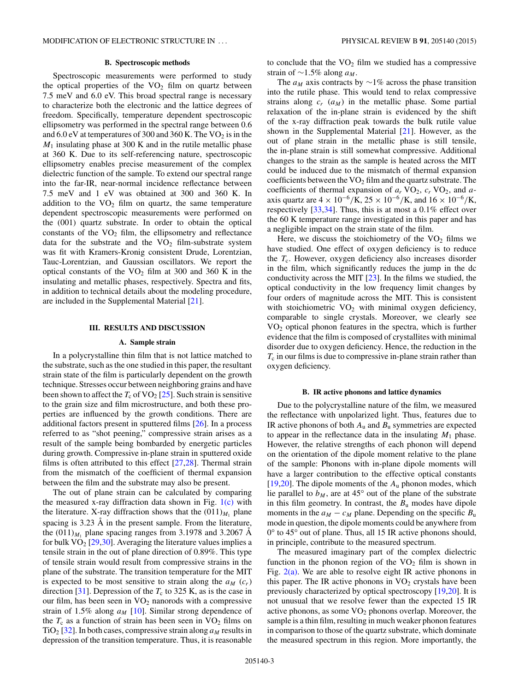# **B. Spectroscopic methods**

Spectroscopic measurements were performed to study the optical properties of the  $VO<sub>2</sub>$  film on quartz between 7.5 meV and 6.0 eV. This broad spectral range is necessary to characterize both the electronic and the lattice degrees of freedom. Specifically, temperature dependent spectroscopic ellipsometry was performed in the spectral range between 0.6 and  $6.0 \text{ eV}$  at temperatures of 300 and 360 K. The VO<sub>2</sub> is in the *M*<sup>1</sup> insulating phase at 300 K and in the rutile metallic phase at 360 K. Due to its self-referencing nature, spectroscopic ellipsometry enables precise measurement of the complex dielectric function of the sample. To extend our spectral range into the far-IR, near-normal incidence reflectance between 7.5 meV and 1 eV was obtained at 300 and 360 K. In addition to the  $VO<sub>2</sub>$  film on quartz, the same temperature dependent spectroscopic measurements were performed on the (001) quartz substrate. In order to obtain the optical constants of the  $VO<sub>2</sub>$  film, the ellipsometry and reflectance data for the substrate and the  $VO<sub>2</sub>$  film-substrate system was fit with Kramers-Kronig consistent Drude, Lorentzian, Tauc-Lorentzian, and Gaussian oscillators. We report the optical constants of the  $VO<sub>2</sub>$  film at 300 and 360 K in the insulating and metallic phases, respectively. Spectra and fits, in addition to technical details about the modeling procedure, are included in the Supplemental Material [\[21\]](#page-8-0).

# **III. RESULTS AND DISCUSSION**

### **A. Sample strain**

In a polycrystalline thin film that is not lattice matched to the substrate, such as the one studied in this paper, the resultant strain state of the film is particularly dependent on the growth technique. Stresses occur between neighboring grains and have been shown to affect the  $T_c$  of VO<sub>2</sub> [\[25\]](#page-8-0). Such strain is sensitive to the grain size and film microstructure, and both these properties are influenced by the growth conditions. There are additional factors present in sputtered films [\[26\]](#page-8-0). In a process referred to as "shot peening," compressive strain arises as a result of the sample being bombarded by energetic particles during growth. Compressive in-plane strain in sputtered oxide films is often attributed to this effect [\[27,28\]](#page-8-0). Thermal strain from the mismatch of the coefficient of thermal expansion between the film and the substrate may also be present.

The out of plane strain can be calculated by comparing the measured x-ray diffraction data shown in Fig.  $1(c)$  with the literature. X-ray diffraction shows that the  $(011)_{M_1}$  plane spacing is  $3.23 \text{ Å}$  in the present sample. From the literature, the  $(011)<sub>M1</sub>$  plane spacing ranges from 3.1978 and 3.2067  $\AA$ for bulk  $VO<sub>2</sub>$  [\[29,30\]](#page-8-0). Averaging the literature values implies a tensile strain in the out of plane direction of 0.89%. This type of tensile strain would result from compressive strains in the plane of the substrate. The transition temperature for the MIT is expected to be most sensitive to strain along the  $a_M$   $(c_r)$ direction [\[31\]](#page-8-0). Depression of the  $T_c$  to 325 K, as is the case in our film, has been seen in  $VO<sub>2</sub>$  nanorods with a compressive strain of 1.5% along  $a_M$  [\[10\]](#page-8-0). Similar strong dependence of the  $T_c$  as a function of strain has been seen in  $VO<sub>2</sub>$  films on TiO<sub>2</sub> [\[32\]](#page-8-0). In both cases, compressive strain along  $a_M$  results in depression of the transition temperature. Thus, it is reasonable to conclude that the  $VO<sub>2</sub>$  film we studied has a compressive strain of ∼1.5% along *aM* .

The  $a_M$  axis contracts by  $\sim$ 1% across the phase transition into the rutile phase. This would tend to relax compressive strains along  $c_r$  ( $a_M$ ) in the metallic phase. Some partial relaxation of the in-plane strain is evidenced by the shift of the x-ray diffraction peak towards the bulk rutile value shown in the Supplemental Material [\[21\]](#page-8-0). However, as the out of plane strain in the metallic phase is still tensile, the in-plane strain is still somewhat compressive. Additional changes to the strain as the sample is heated across the MIT could be induced due to the mismatch of thermal expansion coefficients between the  $VO<sub>2</sub>$  film and the quartz substrate. The coefficients of thermal expansion of  $a_r$  VO<sub>2</sub>,  $c_r$  VO<sub>2</sub>, and  $a$ axis quartz are  $4 \times 10^{-6}$ /K,  $25 \times 10^{-6}$ /K, and  $16 \times 10^{-6}$ /K, respectively [\[33,34\]](#page-8-0). Thus, this is at most a 0.1% effect over the 60 K temperature range investigated in this paper and has a negligible impact on the strain state of the film.

Here, we discuss the stoichiometry of the  $VO<sub>2</sub>$  films we have studied. One effect of oxygen deficiency is to reduce the  $T_c$ . However, oxygen deficiency also increases disorder in the film, which significantly reduces the jump in the dc conductivity across the MIT [\[23\]](#page-8-0). In the films we studied, the optical conductivity in the low frequency limit changes by four orders of magnitude across the MIT. This is consistent with stoichiometric  $VO<sub>2</sub>$  with minimal oxygen deficiency, comparable to single crystals. Moreover, we clearly see VO2 optical phonon features in the spectra, which is further evidence that the film is composed of crystallites with minimal disorder due to oxygen deficiency. Hence, the reduction in the  $T_c$  in our films is due to compressive in-plane strain rather than oxygen deficiency.

### **B. IR active phonons and lattice dynamics**

Due to the polycrystalline nature of the film, we measured the reflectance with unpolarized light. Thus, features due to IR active phonons of both *A*<sup>u</sup> and *B*<sup>u</sup> symmetries are expected to appear in the reflectance data in the insulating  $M_1$  phase. However, the relative strengths of each phonon will depend on the orientation of the dipole moment relative to the plane of the sample: Phonons with in-plane dipole moments will have a larger contribution to the effective optical constants [\[19,20\]](#page-8-0). The dipole moments of the  $A_u$  phonon modes, which lie parallel to  $b_M$ , are at 45 $\degree$  out of the plane of the substrate in this film geometry. In contrast, the  $B<sub>u</sub>$  modes have dipole moments in the  $a_M - c_M$  plane. Depending on the specific  $B_u$ mode in question, the dipole moments could be anywhere from 0° to 45° out of plane. Thus, all 15 IR active phonons should, in principle, contribute to the measured spectrum.

The measured imaginary part of the complex dielectric function in the phonon region of the  $VO<sub>2</sub>$  film is shown in Fig.  $2(a)$ . We are able to resolve eight IR active phonons in this paper. The IR active phonons in  $VO<sub>2</sub>$  crystals have been previously characterized by optical spectroscopy [\[19,20\]](#page-8-0). It is not unusual that we resolve fewer than the expected 15 IR active phonons, as some  $VO<sub>2</sub>$  phonons overlap. Moreover, the sample is a thin film, resulting in much weaker phonon features in comparison to those of the quartz substrate, which dominate the measured spectrum in this region. More importantly, the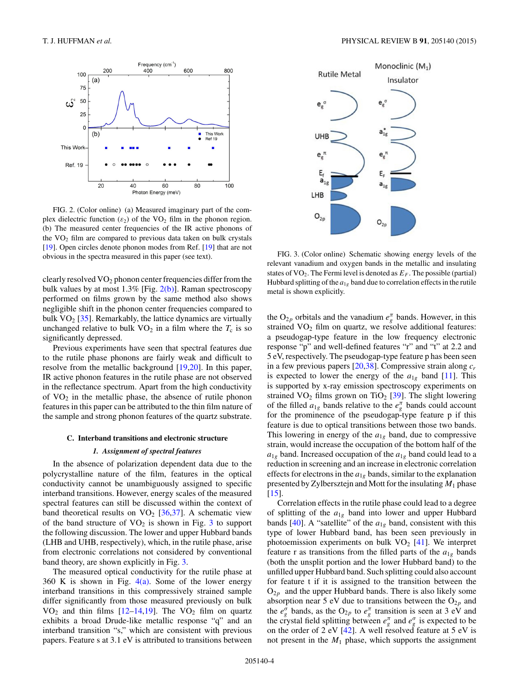<span id="page-5-0"></span>

FIG. 2. (Color online) (a) Measured imaginary part of the complex dielectric function  $(\varepsilon_2)$  of the VO<sub>2</sub> film in the phonon region. (b) The measured center frequencies of the IR active phonons of the  $VO<sub>2</sub>$  film are compared to previous data taken on bulk crystals [\[19\]](#page-8-0). Open circles denote phonon modes from Ref. [\[19\]](#page-8-0) that are not obvious in the spectra measured in this paper (see text).

clearly resolved  $VO<sub>2</sub>$  phonon center frequencies differ from the bulk values by at most  $1.3\%$  [Fig.  $2(b)$ ]. Raman spectroscopy performed on films grown by the same method also shows negligible shift in the phonon center frequencies compared to bulk  $VO<sub>2</sub>$  [\[35\]](#page-8-0). Remarkably, the lattice dynamics are virtually unchanged relative to bulk  $VO<sub>2</sub>$  in a film where the  $T<sub>c</sub>$  is so significantly depressed.

Previous experiments have seen that spectral features due to the rutile phase phonons are fairly weak and difficult to resolve from the metallic background [\[19,20\]](#page-8-0). In this paper, IR active phonon features in the rutile phase are not observed in the reflectance spectrum. Apart from the high conductivity of  $VO<sub>2</sub>$  in the metallic phase, the absence of rutile phonon features in this paper can be attributed to the thin film nature of the sample and strong phonon features of the quartz substrate.

#### **C. Interband transitions and electronic structure**

#### *1. Assignment of spectral features*

In the absence of polarization dependent data due to the polycrystalline nature of the film, features in the optical conductivity cannot be unambiguously assigned to specific interband transitions. However, energy scales of the measured spectral features can still be discussed within the context of band theoretical results on  $VO<sub>2</sub>$  [\[36,37\]](#page-8-0). A schematic view of the band structure of  $VO<sub>2</sub>$  is shown in Fig. 3 to support the following discussion. The lower and upper Hubbard bands (LHB and UHB, respectively), which, in the rutile phase, arise from electronic correlations not considered by conventional band theory, are shown explicitly in Fig. 3.

The measured optical conductivity for the rutile phase at 360 K is shown in Fig.  $4(a)$ . Some of the lower energy interband transitions in this compressively strained sample differ significantly from those measured previously on bulk  $VO<sub>2</sub>$  and thin films [\[12–14,19\]](#page-8-0). The  $VO<sub>2</sub>$  film on quartz exhibits a broad Drude-like metallic response "q" and an interband transition "s," which are consistent with previous papers. Feature s at 3.1 eV is attributed to transitions between



FIG. 3. (Color online) Schematic showing energy levels of the relevant vanadium and oxygen bands in the metallic and insulating states of  $VO_2$ . The Fermi level is denoted as  $E_F$ . The possible (partial) Hubbard splitting of the  $a_{1g}$  band due to correlation effects in the rutile metal is shown explicitly.

the O<sub>2*p*</sub> orbitals and the vanadium  $e^{\pi}_{g}$  bands. However, in this strained  $VO<sub>2</sub>$  film on quartz, we resolve additional features: a pseudogap-type feature in the low frequency electronic response "p" and well-defined features "r" and "t" at 2.2 and 5 eV, respectively. The pseudogap-type feature p has been seen in a few previous papers [\[20,38\]](#page-8-0). Compressive strain along *cr* is expected to lower the energy of the  $a_{1g}$  band [\[11\]](#page-8-0). This is supported by x-ray emission spectroscopy experiments on strained  $VO<sub>2</sub>$  films grown on TiO<sub>2</sub> [\[39\]](#page-8-0). The slight lowering of the filled  $a_{1g}$  bands relative to the  $e_g^{\pi}$  bands could account for the prominence of the pseudogap-type feature p if this feature is due to optical transitions between those two bands. This lowering in energy of the *a*1*<sup>g</sup>* band, due to compressive strain, would increase the occupation of the bottom half of the  $a_{1g}$  band. Increased occupation of the  $a_{1g}$  band could lead to a reduction in screening and an increase in electronic correlation effects for electrons in the  $a_{1g}$  bands, similar to the explanation presented by Zylbersztejn and Mott for the insulating *M*<sup>1</sup> phase  $[15]$ .

Correlation effects in the rutile phase could lead to a degree of splitting of the *a*1*<sup>g</sup>* band into lower and upper Hubbard bands [\[40\]](#page-8-0). A "satellite" of the  $a_{1g}$  band, consistent with this type of lower Hubbard band, has been seen previously in photoemission experiments on bulk  $VO<sub>2</sub>$  [\[41\]](#page-8-0). We interpret feature r as transitions from the filled parts of the  $a_{1g}$  bands (both the unsplit portion and the lower Hubbard band) to the unfilled upper Hubbard band. Such splitting could also account for feature t if it is assigned to the transition between the  $O_{2p}$  and the upper Hubbard bands. There is also likely some absorption near 5 eV due to transitions between the  $O_{2p}$  and the  $e^{\sigma}_{g}$  bands, as the O<sub>2*p*</sub> to  $e^{\pi}_{g}$  transition is seen at 3 eV and the crystal field splitting between  $e_g^{\pi}$  and  $e_g^{\sigma}$  is expected to be on the order of 2 eV  $[42]$ . A well resolved feature at 5 eV is not present in the *M*<sup>1</sup> phase, which supports the assignment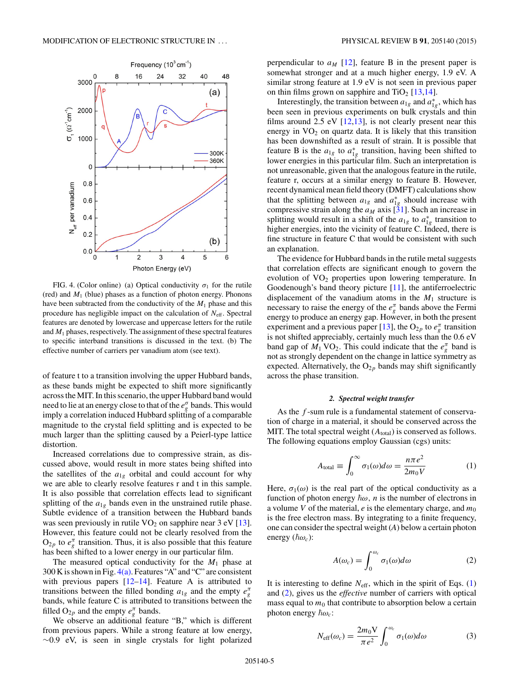<span id="page-6-0"></span>

FIG. 4. (Color online) (a) Optical conductivity  $\sigma_1$  for the rutile (red) and *M*<sup>1</sup> (blue) phases as a function of photon energy. Phonons have been subtracted from the conductivity of the  $M_1$  phase and this procedure has negligible impact on the calculation of  $N_{\text{eff}}$ . Spectral features are denoted by lowercase and uppercase letters for the rutile and  $M_1$  phases, respectively. The assignment of these spectral features to specific interband transitions is discussed in the text. (b) The effective number of carriers per vanadium atom (see text).

of feature t to a transition involving the upper Hubbard bands, as these bands might be expected to shift more significantly across the MIT. In this scenario, the upper Hubbard band would need to lie at an energy close to that of the  $e_g^{\sigma}$  bands. This would imply a correlation induced Hubbard splitting of a comparable magnitude to the crystal field splitting and is expected to be much larger than the splitting caused by a Peierl-type lattice distortion.

Increased correlations due to compressive strain, as discussed above, would result in more states being shifted into the satellites of the  $a_{1g}$  orbital and could account for why we are able to clearly resolve features r and t in this sample. It is also possible that correlation effects lead to significant splitting of the  $a_{1g}$  bands even in the unstrained rutile phase. Subtle evidence of a transition between the Hubbard bands was seen previously in rutile  $VO<sub>2</sub>$  on sapphire near 3 eV [\[13\]](#page-8-0). However, this feature could not be clearly resolved from the  $O_{2p}$  to  $e^{\pi}_g$  transition. Thus, it is also possible that this feature has been shifted to a lower energy in our particular film.

The measured optical conductivity for the  $M_1$  phase at 300 K is shown in Fig.  $4(a)$ . Features "A" and "C" are consistent with previous papers  $[12-14]$ . Feature A is attributed to transitions between the filled bonding  $a_{1g}$  and the empty  $e_g^{\pi}$ bands, while feature C is attributed to transitions between the filled  $O_{2p}$  and the empty  $e_g^{\pi}$  bands.

We observe an additional feature "B," which is different from previous papers. While a strong feature at low energy, ∼0.9 eV, is seen in single crystals for light polarized

perpendicular to  $a_M$  [\[12\]](#page-8-0), feature B in the present paper is somewhat stronger and at a much higher energy, 1.9 eV. A similar strong feature at 1.9 eV is not seen in previous paper on thin films grown on sapphire and  $TiO<sub>2</sub>$  [\[13,14\]](#page-8-0).

Interestingly, the transition between  $a_{1g}$  and  $a_{1g}^*$ , which has been seen in previous experiments on bulk crystals and thin films around 2.5 eV  $[12,13]$ , is not clearly present near this energy in  $VO<sub>2</sub>$  on quartz data. It is likely that this transition has been downshifted as a result of strain. It is possible that feature B is the  $a_{1g}$  to  $a_{1g}^*$  transition, having been shifted to lower energies in this particular film. Such an interpretation is not unreasonable, given that the analogous feature in the rutile, feature r, occurs at a similar energy to feature B. However, recent dynamical mean field theory (DMFT) calculations show that the splitting between  $a_{1g}$  and  $a_{1g}^*$  should increase with compressive strain along the  $a_M$  axis [\[31\]](#page-8-0). Such an increase in splitting would result in a shift of the  $a_{1g}$  to  $a_{1g}^*$  transition to higher energies, into the vicinity of feature C. Indeed, there is fine structure in feature C that would be consistent with such an explanation.

The evidence for Hubbard bands in the rutile metal suggests that correlation effects are significant enough to govern the evolution of  $VO<sub>2</sub>$  properties upon lowering temperature. In Goodenough's band theory picture [\[11\]](#page-8-0), the antiferroelectric displacement of the vanadium atoms in the  $M_1$  structure is necessary to raise the energy of the  $e^{\pi}_{g}$  bands above the Fermi energy to produce an energy gap. However, in both the present experiment and a previous paper [\[13\]](#page-8-0), the O<sub>2*p*</sub> to  $e_{g}^{\pi}$  transition is not shifted appreciably, certainly much less than the 0.6 eV band gap of  $M_1$  VO<sub>2</sub>. This could indicate that the  $e^{\pi}_{g}$  band is not as strongly dependent on the change in lattice symmetry as expected. Alternatively, the  $O_{2p}$  bands may shift significantly across the phase transition.

### *2. Spectral weight transfer*

As the *f* -sum rule is a fundamental statement of conservation of charge in a material, it should be conserved across the MIT. The total spectral weight  $(A_{total})$  is conserved as follows. The following equations employ Gaussian (cgs) units:

$$
A_{\text{total}} \equiv \int_0^\infty \sigma_1(\omega) d\omega = \frac{n\pi e^2}{2m_0 V} \tag{1}
$$

Here,  $\sigma_1(\omega)$  is the real part of the optical conductivity as a function of photon energy  $\hbar \omega$ , *n* is the number of electrons in a volume *V* of the material,  $e$  is the elementary charge, and  $m_0$ is the free electron mass. By integrating to a finite frequency, one can consider the spectral weight (*A*) below a certain photon energy  $(\hbar \omega_c)$ :

$$
A(\omega_c) = \int_0^{\omega_c} \sigma_1(\omega) d\omega \tag{2}
$$

It is interesting to define  $N_{\text{eff}}$ , which in the spirit of Eqs. (1) and (2), gives us the *effective* number of carriers with optical mass equal to  $m_0$  that contribute to absorption below a certain photon energy  $\hbar \omega_c$ :

$$
N_{\rm eff}(\omega_c) = \frac{2m_0 V}{\pi e^2} \int_0^{\omega_c} \sigma_1(\omega) d\omega \tag{3}
$$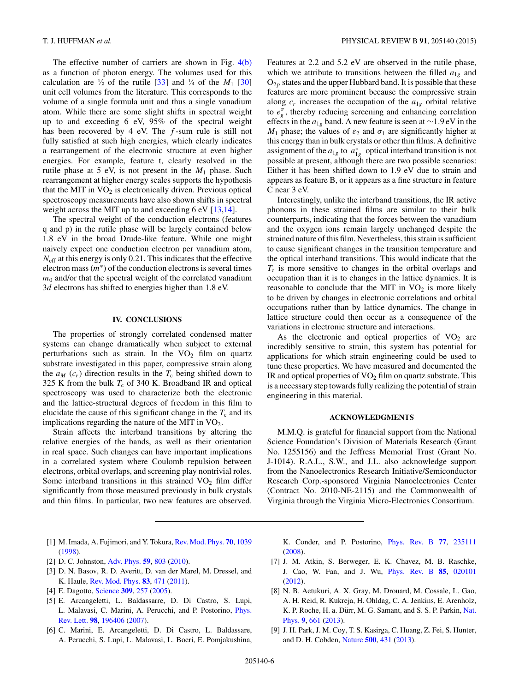<span id="page-7-0"></span>The effective number of carriers are shown in Fig. [4\(b\)](#page-6-0) as a function of photon energy. The volumes used for this calculation are  $\frac{1}{2}$  of the rutile [\[33\]](#page-8-0) and  $\frac{1}{4}$  of the *M*<sub>1</sub> [\[30\]](#page-8-0) unit cell volumes from the literature. This corresponds to the volume of a single formula unit and thus a single vanadium atom. While there are some slight shifts in spectral weight up to and exceeding 6 eV, 95% of the spectral weight has been recovered by 4 eV. The *f* -sum rule is still not fully satisfied at such high energies, which clearly indicates a rearrangement of the electronic structure at even higher energies. For example, feature t, clearly resolved in the rutile phase at 5 eV, is not present in the  $M_1$  phase. Such rearrangement at higher energy scales supports the hypothesis that the MIT in  $VO<sub>2</sub>$  is electronically driven. Previous optical spectroscopy measurements have also shown shifts in spectral weight across the MIT up to and exceeding 6 eV [\[13,14\]](#page-8-0).

The spectral weight of the conduction electrons (features q and p) in the rutile phase will be largely contained below 1.8 eV in the broad Drude-like feature. While one might naively expect one conduction electron per vanadium atom, *N*eff at this energy is only 0.21. This indicates that the effective electron mass  $(m<sup>*</sup>)$  of the conduction electrons is several times  $m<sub>0</sub>$  and/or that the spectral weight of the correlated vanadium 3*d* electrons has shifted to energies higher than 1.8 eV.

## **IV. CONCLUSIONS**

The properties of strongly correlated condensed matter systems can change dramatically when subject to external perturbations such as strain. In the  $VO<sub>2</sub>$  film on quartz substrate investigated in this paper, compressive strain along the  $a_M$  ( $c_r$ ) direction results in the  $T_c$  being shifted down to 325 K from the bulk  $T_c$  of 340 K. Broadband IR and optical spectroscopy was used to characterize both the electronic and the lattice-structural degrees of freedom in this film to elucidate the cause of this significant change in the  $T_c$  and its implications regarding the nature of the MIT in  $VO<sub>2</sub>$ .

Strain affects the interband transitions by altering the relative energies of the bands, as well as their orientation in real space. Such changes can have important implications in a correlated system where Coulomb repulsion between electrons, orbital overlaps, and screening play nontrivial roles. Some interband transitions in this strained  $VO<sub>2</sub>$  film differ significantly from those measured previously in bulk crystals and thin films. In particular, two new features are observed.

Features at 2.2 and 5.2 eV are observed in the rutile phase, which we attribute to transitions between the filled  $a_{1g}$  and  $O_{2p}$  states and the upper Hubbard band. It is possible that these features are more prominent because the compressive strain along  $c_r$  increases the occupation of the  $a_{1g}$  orbital relative to  $e_{g}^{\pi}$ , thereby reducing screening and enhancing correlation effects in the *a*1*<sup>g</sup>* band. A new feature is seen at ∼1*.*9 eV in the *M*<sub>1</sub> phase; the values of  $ε$ <sub>2</sub> and  $σ$ <sub>1</sub> are significantly higher at this energy than in bulk crystals or other thin films. A definitive assignment of the  $a_{1g}$  to  $a_{1g}^*$  optical interband transition is not possible at present, although there are two possible scenarios: Either it has been shifted down to 1.9 eV due to strain and appears as feature B, or it appears as a fine structure in feature C near 3 eV.

Interestingly, unlike the interband transitions, the IR active phonons in these strained films are similar to their bulk counterparts, indicating that the forces between the vanadium and the oxygen ions remain largely unchanged despite the strained nature of this film. Nevertheless, this strain is sufficient to cause significant changes in the transition temperature and the optical interband transitions. This would indicate that the *T*<sup>c</sup> is more sensitive to changes in the orbital overlaps and occupation than it is to changes in the lattice dynamics. It is reasonable to conclude that the MIT in  $VO<sub>2</sub>$  is more likely to be driven by changes in electronic correlations and orbital occupations rather than by lattice dynamics. The change in lattice structure could then occur as a consequence of the variations in electronic structure and interactions.

As the electronic and optical properties of  $VO<sub>2</sub>$  are incredibly sensitive to strain, this system has potential for applications for which strain engineering could be used to tune these properties. We have measured and documented the IR and optical properties of  $VO<sub>2</sub>$  film on quartz substrate. This is a necessary step towards fully realizing the potential of strain engineering in this material.

## **ACKNOWLEDGMENTS**

M.M.Q. is grateful for financial support from the National Science Foundation's Division of Materials Research (Grant No. 1255156) and the Jeffress Memorial Trust (Grant No. J-1014). R.A.L., S.W., and J.L. also acknowledge support from the Nanoelectronics Research Initiative/Semiconductor Research Corp.-sponsored Virginia Nanoelectronics Center (Contract No. 2010-NE-2115) and the Commonwealth of Virginia through the Virginia Micro-Electronics Consortium.

- [1] M. Imada, A. Fujimori, and Y. Tokura, [Rev. Mod. Phys.](http://dx.doi.org/10.1103/RevModPhys.70.1039) **[70](http://dx.doi.org/10.1103/RevModPhys.70.1039)**, [1039](http://dx.doi.org/10.1103/RevModPhys.70.1039) [\(1998\)](http://dx.doi.org/10.1103/RevModPhys.70.1039).
- [2] D. C. Johnston, [Adv. Phys.](http://dx.doi.org/10.1080/00018732.2010.513480) **[59](http://dx.doi.org/10.1080/00018732.2010.513480)**, [803](http://dx.doi.org/10.1080/00018732.2010.513480) [\(2010\)](http://dx.doi.org/10.1080/00018732.2010.513480).
- [3] D. N. Basov, R. D. Averitt, D. van der Marel, M. Dressel, and K. Haule, [Rev. Mod. Phys.](http://dx.doi.org/10.1103/RevModPhys.83.471) **[83](http://dx.doi.org/10.1103/RevModPhys.83.471)**, [471](http://dx.doi.org/10.1103/RevModPhys.83.471) [\(2011\)](http://dx.doi.org/10.1103/RevModPhys.83.471).
- [4] E. Dagotto, [Science](http://dx.doi.org/10.1126/science.1107559) **[309](http://dx.doi.org/10.1126/science.1107559)**, [257](http://dx.doi.org/10.1126/science.1107559) [\(2005\)](http://dx.doi.org/10.1126/science.1107559).
- [5] E. Arcangeletti, L. Baldassarre, D. Di Castro, S. Lupi, [L. Malavasi, C. Marini, A. Perucchi, and P. Postorino,](http://dx.doi.org/10.1103/PhysRevLett.98.196406) Phys. Rev. Lett. **[98](http://dx.doi.org/10.1103/PhysRevLett.98.196406)**, [196406](http://dx.doi.org/10.1103/PhysRevLett.98.196406) [\(2007\)](http://dx.doi.org/10.1103/PhysRevLett.98.196406).
- [6] C. Marini, E. Arcangeletti, D. Di Castro, L. Baldassare, A. Perucchi, S. Lupi, L. Malavasi, L. Boeri, E. Pomjakushina,

K. Conder, and P. Postorino, [Phys. Rev. B](http://dx.doi.org/10.1103/PhysRevB.77.235111) **[77](http://dx.doi.org/10.1103/PhysRevB.77.235111)**, [235111](http://dx.doi.org/10.1103/PhysRevB.77.235111) [\(2008\)](http://dx.doi.org/10.1103/PhysRevB.77.235111).

- [7] J. M. Atkin, S. Berweger, E. K. Chavez, M. B. Raschke, J. Cao, W. Fan, and J. Wu, [Phys. Rev. B](http://dx.doi.org/10.1103/PhysRevB.85.020101) **[85](http://dx.doi.org/10.1103/PhysRevB.85.020101)**, [020101](http://dx.doi.org/10.1103/PhysRevB.85.020101) [\(2012\)](http://dx.doi.org/10.1103/PhysRevB.85.020101).
- [8] N. B. Aetukuri, A. X. Gray, M. Drouard, M. Cossale, L. Gao, A. H. Reid, R. Kukreja, H. Ohldag, C. A. Jenkins, E. Arenholz, K. P. Roche, H. a. Dürr, M. G. Samant, and S. S. P. Parkin, Nat. Phys. **[9](http://dx.doi.org/10.1038/nphys2733)**, [661](http://dx.doi.org/10.1038/nphys2733) [\(2013\)](http://dx.doi.org/10.1038/nphys2733).
- [9] J. H. Park, J. M. Coy, T. S. Kasirga, C. Huang, Z. Fei, S. Hunter, and D. H. Cobden, [Nature](http://dx.doi.org/10.1038/nature12425) **[500](http://dx.doi.org/10.1038/nature12425)**, [431](http://dx.doi.org/10.1038/nature12425) [\(2013\)](http://dx.doi.org/10.1038/nature12425).